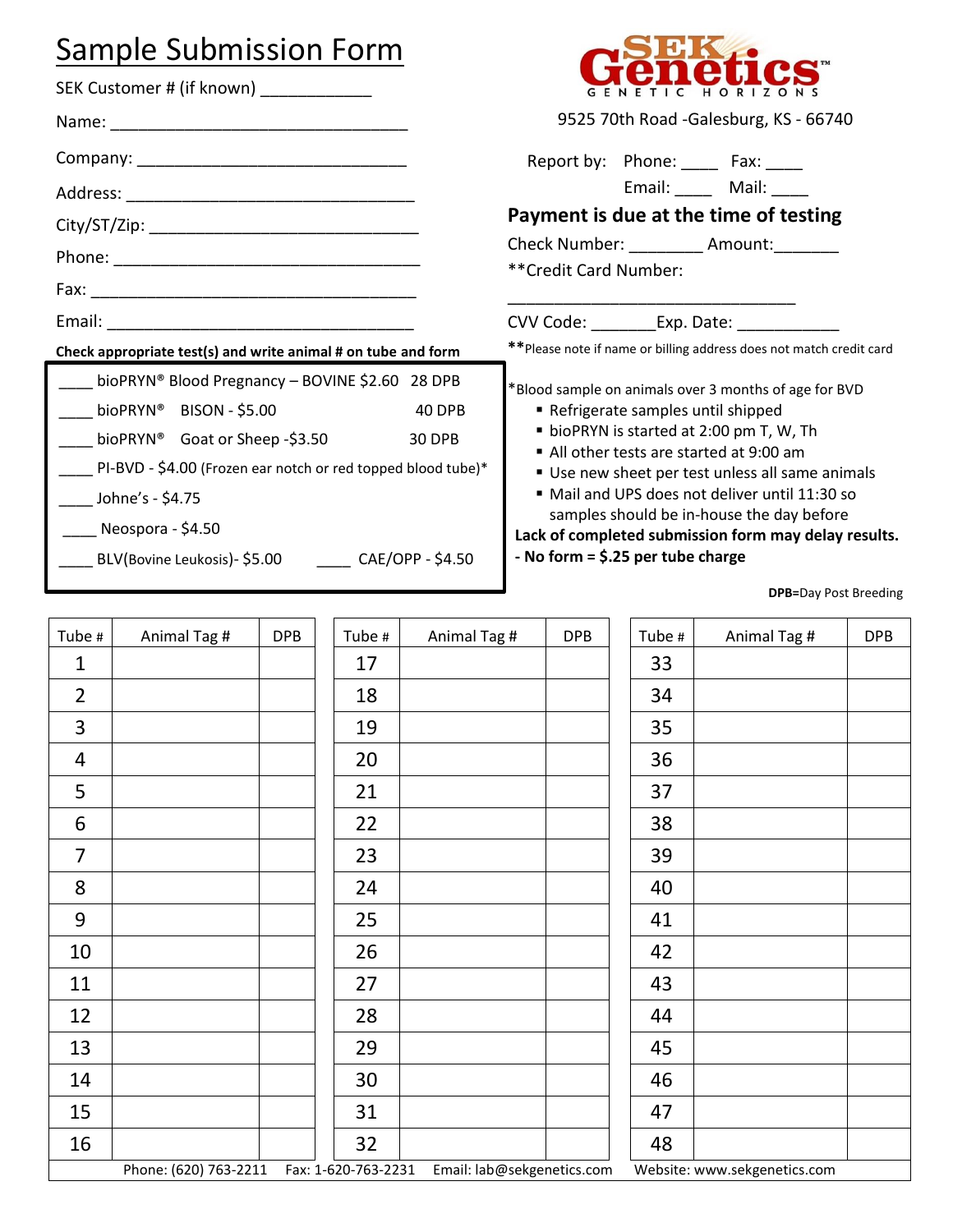## Sample Submission Form

Name: \_\_\_\_\_\_\_\_\_\_\_\_\_\_\_\_\_\_\_\_\_\_\_\_\_\_\_\_\_\_\_\_

Company: \_\_\_\_\_\_\_\_\_\_\_\_\_\_\_\_\_\_\_\_\_\_\_\_\_\_\_\_\_

Address: \_\_\_\_\_\_\_\_\_\_\_\_\_\_\_\_\_\_\_\_\_\_\_\_\_\_\_\_\_\_\_ City/ST/Zip: \_\_\_\_\_\_\_\_\_\_\_\_\_\_\_\_\_\_\_\_\_\_\_\_\_\_\_\_\_

Phone: \_\_\_\_\_\_\_\_\_\_\_\_\_\_\_\_\_\_\_\_\_\_\_\_\_\_\_\_\_\_\_\_\_

SEK Customer # (if known)



9525 70th Road -Galesburg, KS - 66740

Report by: Phone: \_\_\_\_ Fax: \_\_\_\_ Email: \_\_\_\_\_ Mail: \_\_\_\_\_

## **Payment is due at the time of testing**

| <b>Check Number:</b> | Amount: |  |
|----------------------|---------|--|
|                      |         |  |

\*\*Credit Card Number:

## **Lack of completed submission form may delay results.**

|                                                                                                                                                                                                                                                                                                                                                                                             |                                                                                                                                                                                                                                |            |                           |                                                                                                                                                                                                                                                                                                                                                                                                                                                                                                                                         |  | muredit Card Number: |              |                                                 |            |
|---------------------------------------------------------------------------------------------------------------------------------------------------------------------------------------------------------------------------------------------------------------------------------------------------------------------------------------------------------------------------------------------|--------------------------------------------------------------------------------------------------------------------------------------------------------------------------------------------------------------------------------|------------|---------------------------|-----------------------------------------------------------------------------------------------------------------------------------------------------------------------------------------------------------------------------------------------------------------------------------------------------------------------------------------------------------------------------------------------------------------------------------------------------------------------------------------------------------------------------------------|--|----------------------|--------------|-------------------------------------------------|------------|
|                                                                                                                                                                                                                                                                                                                                                                                             | Email: Email: All and the state of the state of the state of the state of the state of the state of the state of the state of the state of the state of the state of the state of the state of the state of the state of the s |            |                           |                                                                                                                                                                                                                                                                                                                                                                                                                                                                                                                                         |  |                      |              | CVV Code: ___________Exp. Date: _______________ |            |
|                                                                                                                                                                                                                                                                                                                                                                                             |                                                                                                                                                                                                                                |            |                           |                                                                                                                                                                                                                                                                                                                                                                                                                                                                                                                                         |  |                      |              |                                                 |            |
| Check appropriate test(s) and write animal # on tube and form<br>bioPRYN® Blood Pregnancy - BOVINE \$2.60 28 DPB<br>bioPRYN® BISON - \$5.00<br>40 DPB<br>bioPRYN <sup>®</sup> Goat or Sheep -\$3.50<br>30 DPB<br>PI-BVD - \$4.00 (Frozen ear notch or red topped blood tube)*<br><b>Johne's - \$4.75</b><br>Neospora - \$4.50<br>____ BLV(Bovine Leukosis)- \$5.00 _______ CAE/OPP - \$4.50 |                                                                                                                                                                                                                                |            |                           | ** Please note if name or billing address does not match credit card<br>*Blood sample on animals over 3 months of age for BVD<br>Refrigerate samples until shipped<br>• bioPRYN is started at 2:00 pm T, W, Th<br>All other tests are started at 9:00 am<br>Use new sheet per test unless all same animals<br>" Mail and UPS does not deliver until 11:30 so<br>samples should be in-house the day before<br>Lack of completed submission form may delay results.<br>- No form = $$.25$ per tube charge<br><b>DPB=Day Post Breeding</b> |  |                      |              |                                                 |            |
|                                                                                                                                                                                                                                                                                                                                                                                             |                                                                                                                                                                                                                                |            |                           |                                                                                                                                                                                                                                                                                                                                                                                                                                                                                                                                         |  |                      |              |                                                 |            |
| Tube #<br>1                                                                                                                                                                                                                                                                                                                                                                                 | Animal Tag #                                                                                                                                                                                                                   | <b>DPB</b> | Tube #<br>17              | Animal Tag #                                                                                                                                                                                                                                                                                                                                                                                                                                                                                                                            |  | <b>DPB</b>           | Tube #<br>33 | Animal Tag #                                    | <b>DPB</b> |
| $\overline{2}$                                                                                                                                                                                                                                                                                                                                                                              |                                                                                                                                                                                                                                |            | 18                        |                                                                                                                                                                                                                                                                                                                                                                                                                                                                                                                                         |  |                      | 34           |                                                 |            |
| 3                                                                                                                                                                                                                                                                                                                                                                                           |                                                                                                                                                                                                                                |            | 19                        |                                                                                                                                                                                                                                                                                                                                                                                                                                                                                                                                         |  |                      | 35           |                                                 |            |
| 4                                                                                                                                                                                                                                                                                                                                                                                           |                                                                                                                                                                                                                                |            | 20                        |                                                                                                                                                                                                                                                                                                                                                                                                                                                                                                                                         |  |                      | 36           |                                                 |            |
| 5                                                                                                                                                                                                                                                                                                                                                                                           |                                                                                                                                                                                                                                |            | 21                        |                                                                                                                                                                                                                                                                                                                                                                                                                                                                                                                                         |  |                      | 37           |                                                 |            |
| 6                                                                                                                                                                                                                                                                                                                                                                                           |                                                                                                                                                                                                                                |            | 22                        |                                                                                                                                                                                                                                                                                                                                                                                                                                                                                                                                         |  |                      | 38           |                                                 |            |
| $\overline{7}$                                                                                                                                                                                                                                                                                                                                                                              |                                                                                                                                                                                                                                |            | 23                        |                                                                                                                                                                                                                                                                                                                                                                                                                                                                                                                                         |  |                      | 39           |                                                 |            |
| 8                                                                                                                                                                                                                                                                                                                                                                                           |                                                                                                                                                                                                                                |            | 24                        |                                                                                                                                                                                                                                                                                                                                                                                                                                                                                                                                         |  |                      | 40           |                                                 |            |
| 9                                                                                                                                                                                                                                                                                                                                                                                           |                                                                                                                                                                                                                                |            | 25                        |                                                                                                                                                                                                                                                                                                                                                                                                                                                                                                                                         |  |                      | 41           |                                                 |            |
| 10                                                                                                                                                                                                                                                                                                                                                                                          |                                                                                                                                                                                                                                |            | 26                        |                                                                                                                                                                                                                                                                                                                                                                                                                                                                                                                                         |  |                      | 42           |                                                 |            |
| 11                                                                                                                                                                                                                                                                                                                                                                                          |                                                                                                                                                                                                                                |            | 27                        |                                                                                                                                                                                                                                                                                                                                                                                                                                                                                                                                         |  |                      | 43           |                                                 |            |
| 12                                                                                                                                                                                                                                                                                                                                                                                          |                                                                                                                                                                                                                                |            | 28                        |                                                                                                                                                                                                                                                                                                                                                                                                                                                                                                                                         |  |                      | 44           |                                                 |            |
| 13                                                                                                                                                                                                                                                                                                                                                                                          |                                                                                                                                                                                                                                |            | 29                        |                                                                                                                                                                                                                                                                                                                                                                                                                                                                                                                                         |  |                      | 45           |                                                 |            |
| 14                                                                                                                                                                                                                                                                                                                                                                                          |                                                                                                                                                                                                                                |            | 30                        |                                                                                                                                                                                                                                                                                                                                                                                                                                                                                                                                         |  |                      | 46           |                                                 |            |
|                                                                                                                                                                                                                                                                                                                                                                                             |                                                                                                                                                                                                                                |            |                           |                                                                                                                                                                                                                                                                                                                                                                                                                                                                                                                                         |  |                      |              |                                                 |            |
| 15                                                                                                                                                                                                                                                                                                                                                                                          |                                                                                                                                                                                                                                |            | 31                        |                                                                                                                                                                                                                                                                                                                                                                                                                                                                                                                                         |  |                      | 47           |                                                 |            |
| 16                                                                                                                                                                                                                                                                                                                                                                                          | Phone: (620) 763-2211                                                                                                                                                                                                          |            | 32<br>Fax: 1-620-763-2231 | Email: lab@sekgenetics.com                                                                                                                                                                                                                                                                                                                                                                                                                                                                                                              |  |                      | 48           | Website: www.sekgenetics.com                    |            |
|                                                                                                                                                                                                                                                                                                                                                                                             |                                                                                                                                                                                                                                |            |                           |                                                                                                                                                                                                                                                                                                                                                                                                                                                                                                                                         |  |                      |              |                                                 |            |